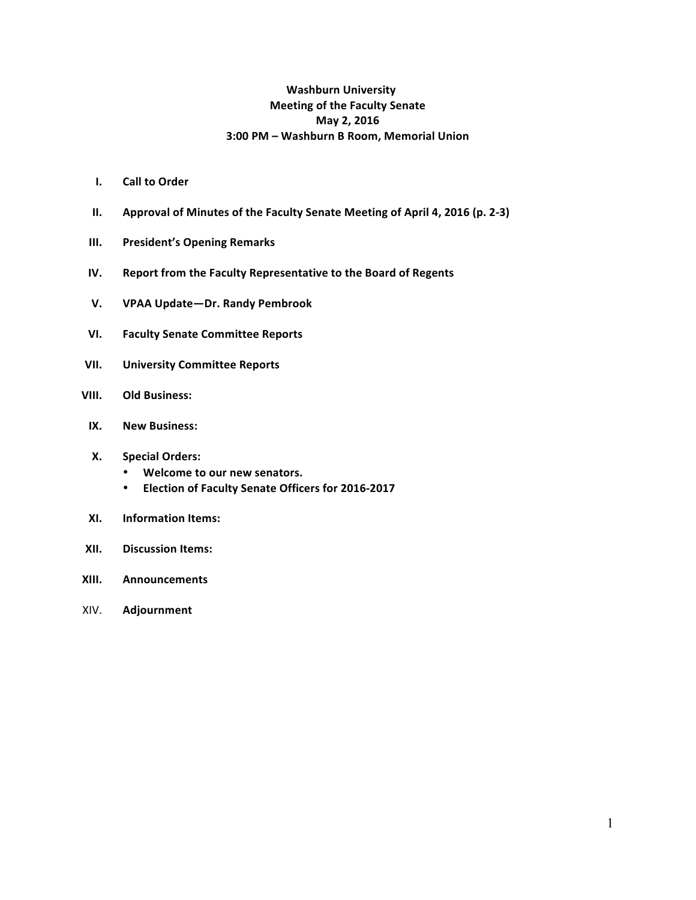# **Washburn University Meeting of the Faculty Senate May 2, 2016 3:00 PM – Washburn B Room, Memorial Union**

- **I.** Call to Order
- **II.** Approval of Minutes of the Faculty Senate Meeting of April 4, 2016 (p. 2-3)
- **III.** President's Opening Remarks
- **IV.** Report from the Faculty Representative to the Board of Regents
- **V. VPAA Update—Dr. Randy Pembrook**
- **VI. Faculty Senate Committee Reports**
- **VII. University Committee Reports**
- **VIII. Old Business:** 
	- **IX. New Business:**

### **X. Special Orders:**

- Welcome to our new senators.
- **Election of Faculty Senate Officers for 2016-2017**
- **XI.** Information Items:
- **XII. Discussion Items:**
- **XIII. Announcements**
- XIV. **Adjournment**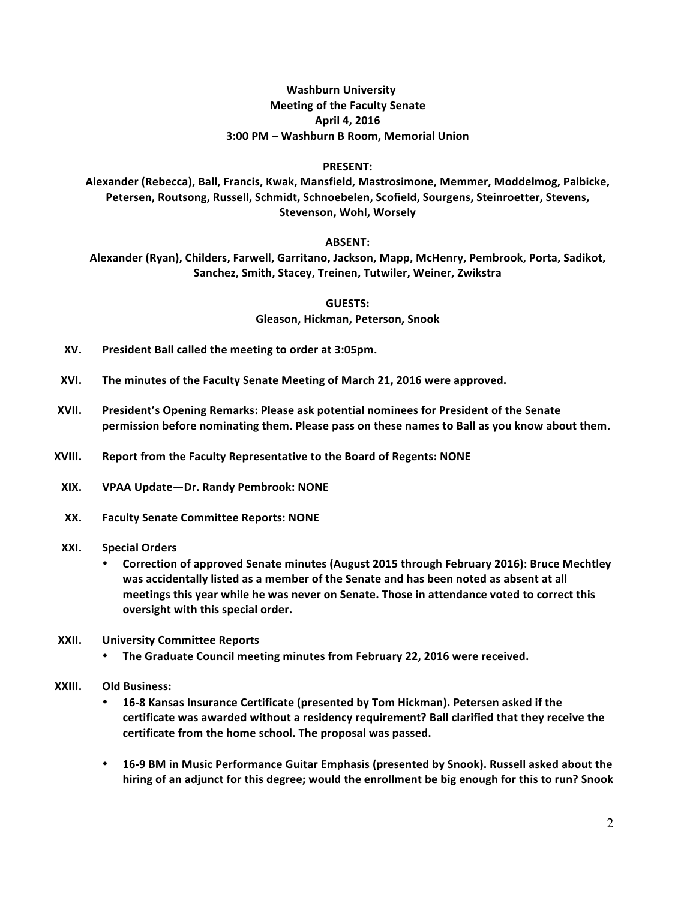## **Washburn University Meeting of the Faculty Senate April 4, 2016 3:00 PM – Washburn B Room, Memorial Union**

#### **PRESENT:**

Alexander (Rebecca), Ball, Francis, Kwak, Mansfield, Mastrosimone, Memmer, Moddelmog, Palbicke, Petersen, Routsong, Russell, Schmidt, Schnoebelen, Scofield, Sourgens, Steinroetter, Stevens, **Stevenson, Wohl, Worsely**

### **ABSENT:**

Alexander (Ryan), Childers, Farwell, Garritano, Jackson, Mapp, McHenry, Pembrook, Porta, Sadikot, Sanchez, Smith, Stacey, Treinen, Tutwiler, Weiner, Zwikstra

> **GUESTS: Gleason, Hickman, Peterson, Snook**

- **XV. President Ball called the meeting to order at 3:05pm.**
- XVI. The minutes of the Faculty Senate Meeting of March 21, 2016 were approved.
- **XVII.** President's Opening Remarks: Please ask potential nominees for President of the Senate permission before nominating them. Please pass on these names to Ball as you know about them.
- **XVIII.** Report from the Faculty Representative to the Board of Regents: NONE
- **XIX. VPAA Update—Dr. Randy Pembrook: NONE**
- **XX. Faculty Senate Committee Reports: NONE**
- **XXI. Special Orders**
	- Correction of approved Senate minutes (August 2015 through February 2016): Bruce Mechtley was accidentally listed as a member of the Senate and has been noted as absent at all meetings this year while he was never on Senate. Those in attendance voted to correct this **oversight with this special order.**
- **XXII. University Committee Reports**
	- **The Graduate Council meeting minutes from February 22, 2016 were received.**
- **XXIII. Old Business:** 
	- 16-8 Kansas Insurance Certificate (presented by Tom Hickman). Petersen asked if the certificate was awarded without a residency requirement? Ball clarified that they receive the certificate from the home school. The proposal was passed.
	- 16-9 BM in Music Performance Guitar Emphasis (presented by Snook). Russell asked about the hiring of an adjunct for this degree; would the enrollment be big enough for this to run? Snook